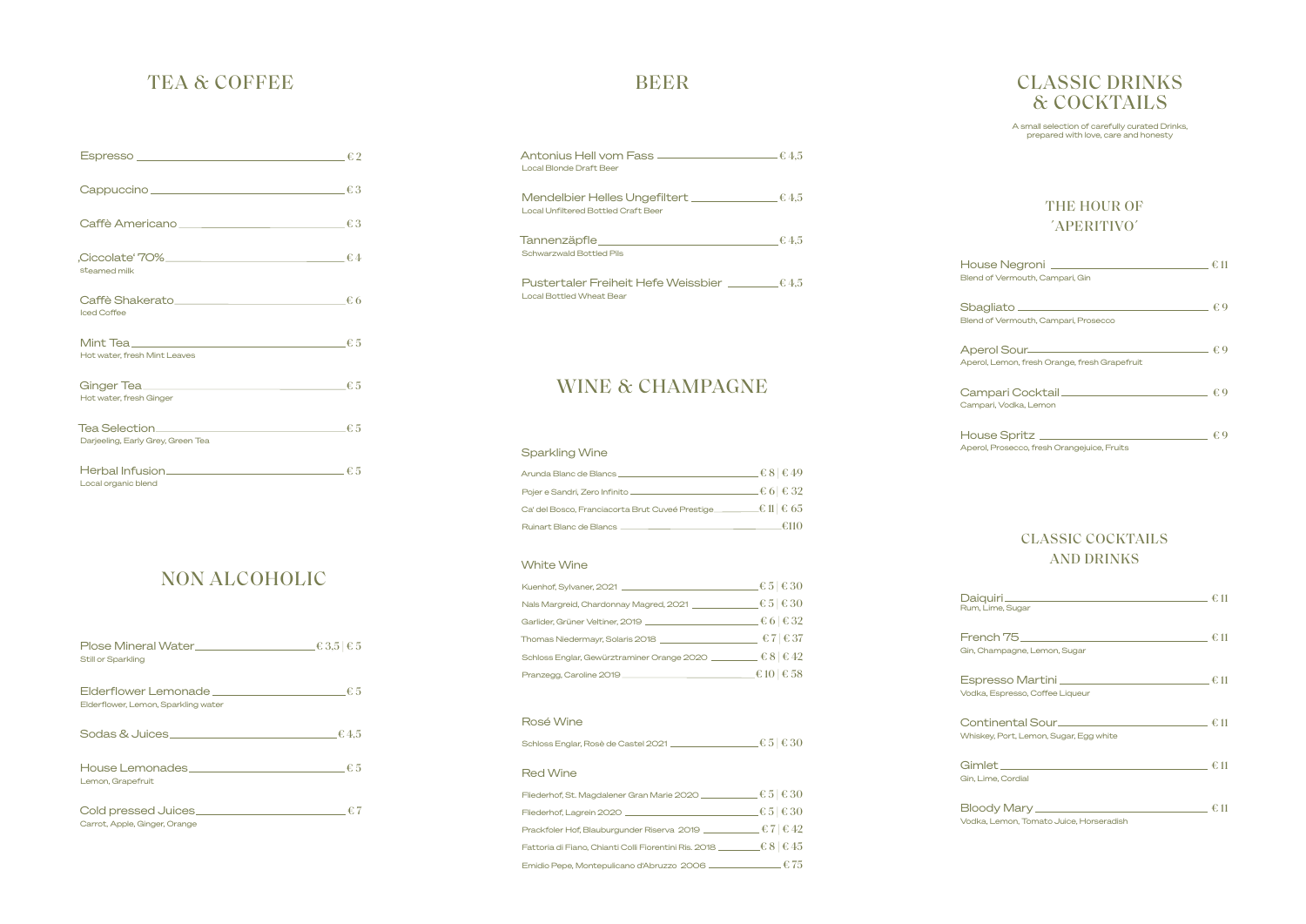### NON ALCOHOLIC

## TEA & COFFEE

| Cappuccino <del>contra contra contra contra contra c</del> 3 |  |
|--------------------------------------------------------------|--|
| Caffè Americano $f: 3$                                       |  |
| $f. Ciccolate' 70\%$ $f. 4$<br>steamed milk                  |  |
| Caffè Shakerato $66$<br><b>Iced Coffee</b>                   |  |
| Mint Tea $f: 5$<br>Hot water, fresh Mint Leaves              |  |
| Hot water, fresh Ginger                                      |  |
| Darjeeling, Early Grey, Green Tea                            |  |
| Local organic blend                                          |  |

| Still or Sparkling                                                                        | $\epsilon$ 3,5 $\epsilon$ 5 |
|-------------------------------------------------------------------------------------------|-----------------------------|
| $\blacksquare$ Elderflower Lemonade $\blacksquare$<br>Elderflower, Lemon, Sparkling water |                             |
| Sodas & Juices_                                                                           | $\pm 4.5$                   |
| House Lemonades<br>Lemon, Grapefruit                                                      | €5                          |
| Cold pressed Juices.<br>Carrot, Apple, Ginger, Orange                                     | €7                          |

# BEER

| Antonius Hell vom Fass $\frac{1}{2}$ (4.5 $\frac{1}{2}$<br>Local Blonde Draft Beer                                                                                                                                                                                                          |           |
|---------------------------------------------------------------------------------------------------------------------------------------------------------------------------------------------------------------------------------------------------------------------------------------------|-----------|
| <b>Local Unfiltered Bottled Craft Beer</b>                                                                                                                                                                                                                                                  |           |
| Tannenzäpfle____<br><u>experimental property of the control of the control of the control of the control of the control of the control of the control of the control of the control of the control of the control of the control of the control of t</u><br><b>Schwarzwald Bottled Pils</b> | $\pm 4.5$ |
| Pustertaler Freiheit Hefe Weissbier<br><b>Local Bottled Wheat Bear</b>                                                                                                                                                                                                                      | $\pm 4.5$ |

# Blend of

### WINE & CHAMPAGNE

### CLASSIC DRINKS & COCKTAILS

A small selection of carefully curated Drinks, prepared with love, care and honesty

| House Negroni _<br>Blend of Vermouth, Campari, Gin                                   |    |
|--------------------------------------------------------------------------------------|----|
| Sbagliato <sub>——</sub><br>Blend of Vermouth, Campari, Prosecco                      |    |
| Aperol Sour________________________<br>Aperol, Lemon, fresh Orange, fresh Grapefruit |    |
| Campari Cocktail <u>_______________________</u><br>Campari, Vodka, Lemon             | €. |
| House Spritz<br>Aperol, Prosecco, fresh Orangejuice, Fruits                          |    |

| Daiquiri <sub>-</sub><br>Rum, Lime, Sugar                                     |         |
|-------------------------------------------------------------------------------|---------|
| French $75$<br>Gin, Champagne, Lemon, Sugar                                   | € 11    |
| Espresso Martini _________________________<br>Vodka, Espresso, Coffee Liqueur | € 11    |
| Whiskey, Port, Lemon, Sugar, Egg white                                        | €. 11   |
| Gin, Lime, Cordial                                                            | €.11    |
| Bloody Mary _____<br>Vodka, Lemon, Tomato Juice, Horseradish                  | €<br>11 |

### CLASSIC COCKTAILS AND DRINKS

#### THE HOUR OF ´APERITIVO´

#### Sparkling Wine

| Arunda Blanc de Blancs                           | $-\epsilon 8$ $\epsilon$ 49 |
|--------------------------------------------------|-----------------------------|
| Pojer e Sandri, Zero Infinito                    | $-\epsilon$ 6 $\epsilon$ 32 |
| Ca' del Bosco, Franciacorta Brut Cuveé Prestige. | $\pm 0$ 1 $\pm 65$          |
| <b>Ruinart Blanc de Blancs</b>                   | $\pm 110$                   |

#### White Wine

| Kuenhof, Sylvaner, 2021                    | $\epsilon$ 5 $\epsilon$ 30 |
|--------------------------------------------|----------------------------|
| Nals Margreid, Chardonnay Magred, 2021     | $\epsilon$ 5 $\epsilon$ 30 |
| Garlider, Grüner Veltiner, 2019            | $\pm 6 \mid \in 32$        |
| Thomas Niedermayr, Solaris 2018            | €7 $\in$ 37                |
| Schloss Englar, Gewürztraminer Orange 2020 | $\epsilon$ 8 $\epsilon$ 42 |
| Pranzegg, Caroline 2019                    | $\angle$ € 10 $\mid$ € 58  |

#### Rosé Wine

| Schloss Englar, Rosè de Castel 2021 | $\pm 5 \pm 30$ |  |
|-------------------------------------|----------------|--|
|-------------------------------------|----------------|--|

#### Red Wine

| Fliederhof, St. Magdalener Gran Marie 2020 _          | $\epsilon$ 5 $\epsilon$ 30         |
|-------------------------------------------------------|------------------------------------|
| Fliederhof, Lagrein 2020                              | $\pm \epsilon 5 \vert \epsilon 30$ |
| Prackfoler Hof, Blauburgunder Riserva 2019            | $E \in 7 \mid \in 42$              |
| Fattoria di Fiano, Chianti Colli Fiorentini Ris. 2018 | $\pm 8 \mid \pmb{\epsilon} 45$     |
| Emidio Pepe, Montepulicano d'Abruzzo 2006 .           | .€75                               |

Espre Vodka,

Conti Whiskey